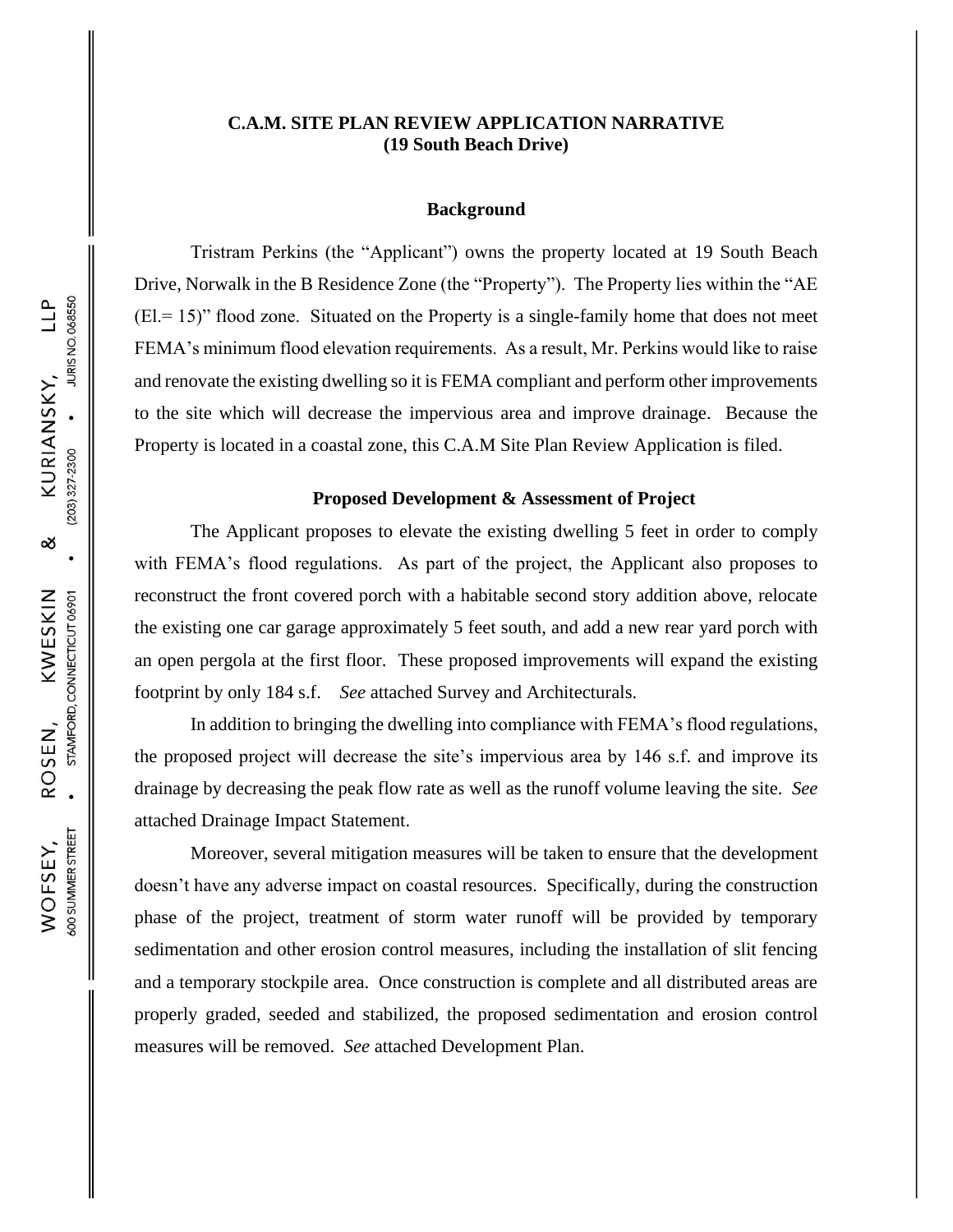# **C.A.M. SITE PLAN REVIEW APPLICATION NARRATIVE (19 South Beach Drive)**

### **Background**

Tristram Perkins (the "Applicant") owns the property located at 19 South Beach Drive, Norwalk in the B Residence Zone (the "Property"). The Property lies within the "AE  $(El = 15)$ " flood zone. Situated on the Property is a single-family home that does not meet FEMA's minimum flood elevation requirements. As a result, Mr. Perkins would like to raise and renovate the existing dwelling so it is FEMA compliant and perform other improvements to the site which will decrease the impervious area and improve drainage. Because the Property is located in a coastal zone, this C.A.M Site Plan Review Application is filed.

#### **Proposed Development & Assessment of Project**

The Applicant proposes to elevate the existing dwelling 5 feet in order to comply with FEMA's flood regulations. As part of the project, the Applicant also proposes to reconstruct the front covered porch with a habitable second story addition above, relocate the existing one car garage approximately 5 feet south, and add a new rear yard porch with an open pergola at the first floor. These proposed improvements will expand the existing footprint by only 184 s.f. *See* attached Survey and Architecturals.

In addition to bringing the dwelling into compliance with FEMA's flood regulations, the proposed project will decrease the site's impervious area by 146 s.f. and improve its drainage by decreasing the peak flow rate as well as the runoff volume leaving the site. *See* attached Drainage Impact Statement.

Moreover, several mitigation measures will be taken to ensure that the development doesn't have any adverse impact on coastal resources. Specifically, during the construction phase of the project, treatment of storm water runoff will be provided by temporary sedimentation and other erosion control measures, including the installation of slit fencing and a temporary stockpile area. Once construction is complete and all distributed areas are properly graded, seeded and stabilized, the proposed sedimentation and erosion control measures will be removed. *See* attached Development Plan.